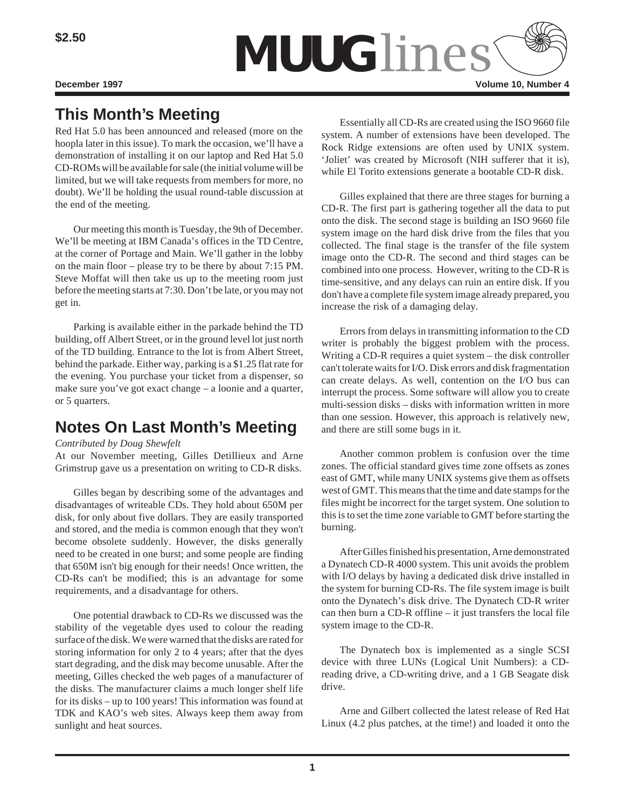

# **This Month's Meeting**

Red Hat 5.0 has been announced and released (more on the hoopla later in this issue). To mark the occasion, we'll have a demonstration of installing it on our laptop and Red Hat 5.0 CD-ROMs will be available for sale (the initial volume will be limited, but we will take requests from members for more, no doubt). We'll be holding the usual round-table discussion at the end of the meeting.

Our meeting this month is Tuesday, the 9th of December. We'll be meeting at IBM Canada's offices in the TD Centre, at the corner of Portage and Main. We'll gather in the lobby on the main floor – please try to be there by about 7:15 PM. Steve Moffat will then take us up to the meeting room just before the meeting starts at 7:30. Don't be late, or you may not get in.

Parking is available either in the parkade behind the TD building, off Albert Street, or in the ground level lot just north of the TD building. Entrance to the lot is from Albert Street, behind the parkade. Either way, parking is a \$1.25 flat rate for the evening. You purchase your ticket from a dispenser, so make sure you've got exact change – a loonie and a quarter, or 5 quarters.

# **Notes On Last Month's Meeting**

#### *Contributed by Doug Shewfelt*

At our November meeting, Gilles Detillieux and Arne Grimstrup gave us a presentation on writing to CD-R disks.

Gilles began by describing some of the advantages and disadvantages of writeable CDs. They hold about 650M per disk, for only about five dollars. They are easily transported and stored, and the media is common enough that they won't become obsolete suddenly. However, the disks generally need to be created in one burst; and some people are finding that 650M isn't big enough for their needs! Once written, the CD-Rs can't be modified; this is an advantage for some requirements, and a disadvantage for others.

One potential drawback to CD-Rs we discussed was the stability of the vegetable dyes used to colour the reading surface of the disk. We were warned that the disks are rated for storing information for only 2 to 4 years; after that the dyes start degrading, and the disk may become unusable. After the meeting, Gilles checked the web pages of a manufacturer of the disks. The manufacturer claims a much longer shelf life for its disks – up to 100 years! This information was found at TDK and KAO's web sites. Always keep them away from sunlight and heat sources.

Essentially all CD-Rs are created using the ISO 9660 file system. A number of extensions have been developed. The Rock Ridge extensions are often used by UNIX system. 'Joliet' was created by Microsoft (NIH sufferer that it is), while El Torito extensions generate a bootable CD-R disk.

Gilles explained that there are three stages for burning a CD-R. The first part is gathering together all the data to put onto the disk. The second stage is building an ISO 9660 file system image on the hard disk drive from the files that you collected. The final stage is the transfer of the file system image onto the CD-R. The second and third stages can be combined into one process. However, writing to the CD-R is time-sensitive, and any delays can ruin an entire disk. If you don't have a complete file system image already prepared, you increase the risk of a damaging delay.

Errors from delays in transmitting information to the CD writer is probably the biggest problem with the process. Writing a CD-R requires a quiet system – the disk controller can't tolerate waits for I/O. Disk errors and disk fragmentation can create delays. As well, contention on the I/O bus can interrupt the process. Some software will allow you to create multi-session disks – disks with information written in more than one session. However, this approach is relatively new, and there are still some bugs in it.

Another common problem is confusion over the time zones. The official standard gives time zone offsets as zones east of GMT, while many UNIX systems give them as offsets west of GMT. This means that the time and date stamps for the files might be incorrect for the target system. One solution to this is to set the time zone variable to GMT before starting the burning.

After Gilles finished his presentation, Arne demonstrated a Dynatech CD-R 4000 system. This unit avoids the problem with I/O delays by having a dedicated disk drive installed in the system for burning CD-Rs. The file system image is built onto the Dynatech's disk drive. The Dynatech CD-R writer can then burn a CD-R offline – it just transfers the local file system image to the CD-R.

The Dynatech box is implemented as a single SCSI device with three LUNs (Logical Unit Numbers): a CDreading drive, a CD-writing drive, and a 1 GB Seagate disk drive.

Arne and Gilbert collected the latest release of Red Hat Linux (4.2 plus patches, at the time!) and loaded it onto the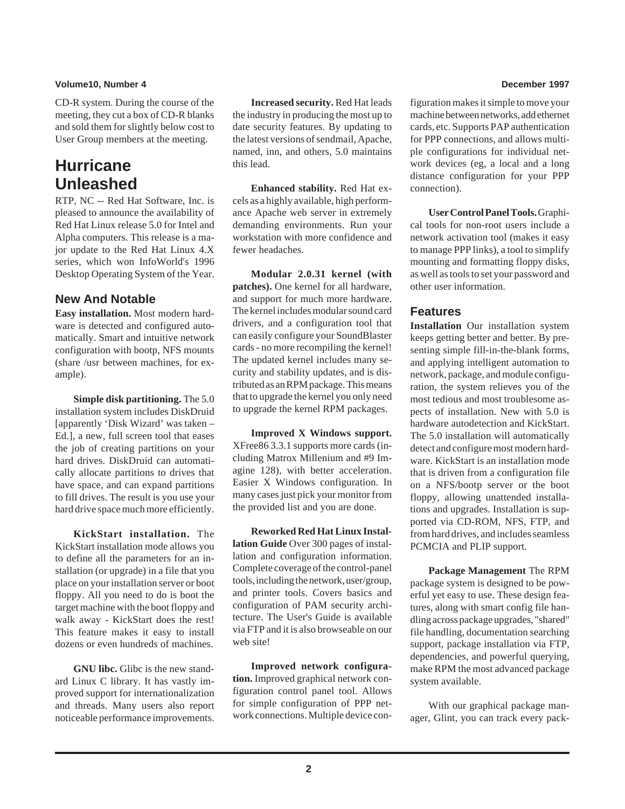### **Volume10, Number 4 December 1997**

CD-R system. During the course of the meeting, they cut a box of CD-R blanks and sold them for slightly below cost to User Group members at the meeting.

# **Hurricane Unleashed**

RTP, NC -- Red Hat Software, Inc. is pleased to announce the availability of Red Hat Linux release 5.0 for Intel and Alpha computers. This release is a major update to the Red Hat Linux 4.X series, which won InfoWorld's 1996 Desktop Operating System of the Year.

# **New And Notable**

**Easy installation.** Most modern hardware is detected and configured automatically. Smart and intuitive network configuration with bootp, NFS mounts (share /usr between machines, for example).

**Simple disk partitioning.** The 5.0 installation system includes DiskDruid [apparently 'Disk Wizard' was taken – Ed.], a new, full screen tool that eases the job of creating partitions on your hard drives. DiskDruid can automatically allocate partitions to drives that have space, and can expand partitions to fill drives. The result is you use your hard drive space much more efficiently.

**KickStart installation.** The KickStart installation mode allows you to define all the parameters for an installation (or upgrade) in a file that you place on your installation server or boot floppy. All you need to do is boot the target machine with the boot floppy and walk away - KickStart does the rest! This feature makes it easy to install dozens or even hundreds of machines.

**GNU libc.** Glibc is the new standard Linux C library. It has vastly improved support for internationalization and threads. Many users also report noticeable performance improvements.

**Increased security.** Red Hat leads the industry in producing the most up to date security features. By updating to the latest versions of sendmail, Apache, named, inn, and others, 5.0 maintains this lead.

**Enhanced stability.** Red Hat excels as a highly available, high performance Apache web server in extremely demanding environments. Run your workstation with more confidence and fewer headaches.

**Modular 2.0.31 kernel (with patches).** One kernel for all hardware, and support for much more hardware. The kernel includes modular sound card drivers, and a configuration tool that can easily configure your SoundBlaster cards - no more recompiling the kernel! The updated kernel includes many security and stability updates, and is distributed as an RPM package. This means that to upgrade the kernel you only need to upgrade the kernel RPM packages.

**Improved X Windows support.** XFree86 3.3.1 supports more cards (including Matrox Millenium and #9 Imagine 128), with better acceleration. Easier X Windows configuration. In many cases just pick your monitor from the provided list and you are done.

**Reworked Red Hat Linux Installation Guide** Over 300 pages of installation and configuration information. Complete coverage of the control-panel tools, including the network, user/group, and printer tools. Covers basics and configuration of PAM security architecture. The User's Guide is available via FTP and it is also browseable on our web site!

**Improved network configuration.** Improved graphical network configuration control panel tool. Allows for simple configuration of PPP network connections. Multiple device con-

figuration makes it simple to move your machine between networks, add ethernet cards, etc. Supports PAP authentication for PPP connections, and allows multiple configurations for individual network devices (eg, a local and a long distance configuration for your PPP connection).

**User Control Panel Tools.** Graphical tools for non-root users include a network activation tool (makes it easy to manage PPP links), a tool to simplify mounting and formatting floppy disks, as well as tools to set your password and other user information.

# **Features**

**Installation** Our installation system keeps getting better and better. By presenting simple fill-in-the-blank forms, and applying intelligent automation to network, package, and module configuration, the system relieves you of the most tedious and most troublesome aspects of installation. New with 5.0 is hardware autodetection and KickStart. The 5.0 installation will automatically detect and configure most modern hardware. KickStart is an installation mode that is driven from a configuration file on a NFS/bootp server or the boot floppy, allowing unattended installations and upgrades. Installation is supported via CD-ROM, NFS, FTP, and from hard drives, and includes seamless PCMCIA and PLIP support.

**Package Management** The RPM package system is designed to be powerful yet easy to use. These design features, along with smart config file handling across package upgrades, "shared" file handling, documentation searching support, package installation via FTP, dependencies, and powerful querying, make RPM the most advanced package system available.

With our graphical package manager, Glint, you can track every pack-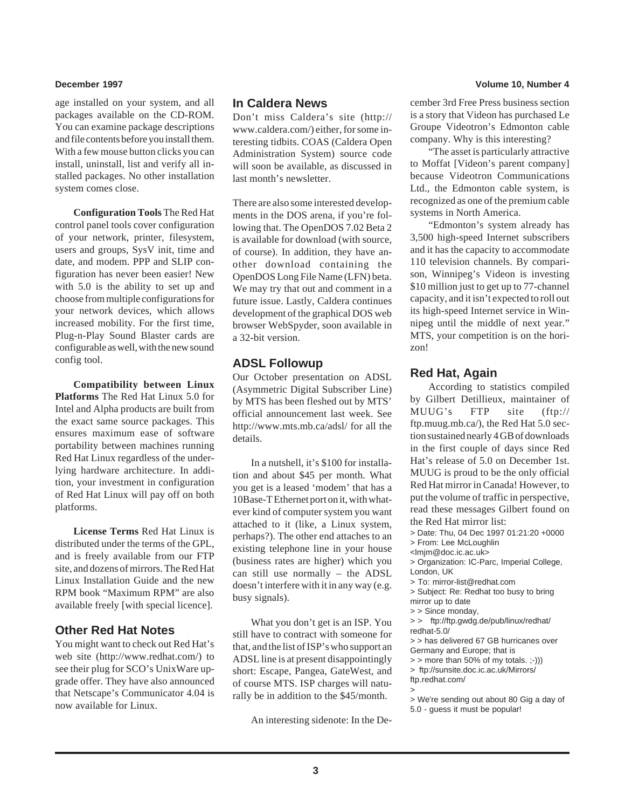age installed on your system, and all packages available on the CD-ROM. You can examine package descriptions and file contents before you install them. With a few mouse button clicks you can install, uninstall, list and verify all installed packages. No other installation system comes close.

**Configuration Tools** The Red Hat control panel tools cover configuration of your network, printer, filesystem, users and groups, SysV init, time and date, and modem. PPP and SLIP configuration has never been easier! New with 5.0 is the ability to set up and choose from multiple configurations for your network devices, which allows increased mobility. For the first time, Plug-n-Play Sound Blaster cards are configurable as well, with the new sound config tool.

**Compatibility between Linux Platforms** The Red Hat Linux 5.0 for Intel and Alpha products are built from the exact same source packages. This ensures maximum ease of software portability between machines running Red Hat Linux regardless of the underlying hardware architecture. In addition, your investment in configuration of Red Hat Linux will pay off on both platforms.

**License Terms** Red Hat Linux is distributed under the terms of the GPL, and is freely available from our FTP site, and dozens of mirrors. The Red Hat Linux Installation Guide and the new RPM book "Maximum RPM" are also available freely [with special licence].

# **Other Red Hat Notes**

You might want to check out Red Hat's web site (http://www.redhat.com/) to see their plug for SCO's UnixWare upgrade offer. They have also announced that Netscape's Communicator 4.04 is now available for Linux.

## **In Caldera News**

Don't miss Caldera's site (http:// www.caldera.com/) either, for some interesting tidbits. COAS (Caldera Open Administration System) source code will soon be available, as discussed in last month's newsletter.

There are also some interested developments in the DOS arena, if you're following that. The OpenDOS 7.02 Beta 2 is available for download (with source, of course). In addition, they have another download containing the OpenDOS Long File Name (LFN) beta. We may try that out and comment in a future issue. Lastly, Caldera continues development of the graphical DOS web browser WebSpyder, soon available in a 32-bit version.

## **ADSL Followup**

Our October presentation on ADSL (Asymmetric Digital Subscriber Line) by MTS has been fleshed out by MTS' official announcement last week. See http://www.mts.mb.ca/adsl/ for all the details.

In a nutshell, it's \$100 for installation and about \$45 per month. What you get is a leased 'modem' that has a 10Base-T Ethernet port on it, with whatever kind of computer system you want attached to it (like, a Linux system, perhaps?). The other end attaches to an existing telephone line in your house (business rates are higher) which you can still use normally – the ADSL doesn't interfere with it in any way (e.g. busy signals).

What you don't get is an ISP. You still have to contract with someone for that, and the list of ISP's who support an ADSL line is at present disappointingly short: Escape, Pangea, GateWest, and of course MTS. ISP charges will naturally be in addition to the \$45/month.

An interesting sidenote: In the De-

#### **December 1997 Volume 10, Number 4**

cember 3rd Free Press business section is a story that Videon has purchased Le Groupe Videotron's Edmonton cable company. Why is this interesting?

"The asset is particularly attractive to Moffat [Videon's parent company] because Videotron Communications Ltd., the Edmonton cable system, is recognized as one of the premium cable systems in North America.

"Edmonton's system already has 3,500 high-speed Internet subscribers and it has the capacity to accommodate 110 television channels. By comparison, Winnipeg's Videon is investing \$10 million just to get up to 77-channel capacity, and it isn't expected to roll out its high-speed Internet service in Winnipeg until the middle of next year." MTS, your competition is on the horizon!

## **Red Hat, Again**

According to statistics compiled by Gilbert Detillieux, maintainer of MUUG's FTP site (ftp:// ftp.muug.mb.ca/), the Red Hat 5.0 section sustained nearly 4 GB of downloads in the first couple of days since Red Hat's release of 5.0 on December 1st. MUUG is proud to be the only official Red Hat mirror in Canada! However, to put the volume of traffic in perspective, read these messages Gilbert found on the Red Hat mirror list:

- > Date: Thu, 04 Dec 1997 01:21:20 +0000
- > From: Lee McLoughlin
- <lmjm@doc.ic.ac.uk>
- > Organization: IC-Parc, Imperial College, London, UK
- > To: mirror-list@redhat.com
- > Subject: Re: Redhat too busy to bring mirror up to date
- > > Since monday,
- > > ftp://ftp.gwdg.de/pub/linux/redhat/ redhat-5.0/
- > > has delivered 67 GB hurricanes over
- Germany and Europe; that is  $>$  more than 50% of my totals.  $;-))$
- > ftp://sunsite.doc.ic.ac.uk/Mirrors/
- ftp.redhat.com/
- >
- > We're sending out about 80 Gig a day of 5.0 - guess it must be popular!